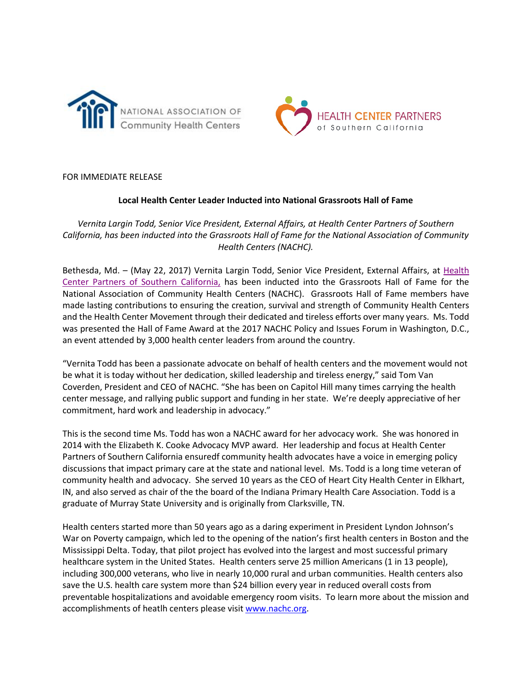



FOR IMMEDIATE RELEASE

## **Local Health Center Leader Inducted into National Grassroots Hall of Fame**

*Vernita Largin Todd, Senior Vice President, External Affairs, at Health Center Partners of Southern California, has been inducted into the Grassroots Hall of Fame for the National Association of Community Health Centers (NACHC).* 

Bethesda, Md. – (May 22, 2017) Vernita Largin Todd, Senior Vice President, External Affairs, at Health [Center Partners of Southern California,](http://www.hcpsocal.org/) has been inducted into the Grassroots Hall of Fame for the National Association of Community Health Centers (NACHC). Grassroots Hall of Fame members have made lasting contributions to ensuring the creation, survival and strength of Community Health Centers and the Health Center Movement through their dedicated and tireless efforts over many years. Ms. Todd was presented the Hall of Fame Award at the 2017 NACHC Policy and Issues Forum in Washington, D.C., an event attended by 3,000 health center leaders from around the country.

"Vernita Todd has been a passionate advocate on behalf of health centers and the movement would not be what it is today without her dedication, skilled leadership and tireless energy," said Tom Van Coverden, President and CEO of NACHC. "She has been on Capitol Hill many times carrying the health center message, and rallying public support and funding in her state. We're deeply appreciative of her commitment, hard work and leadership in advocacy."

This is the second time Ms. Todd has won a NACHC award for her advocacy work. She was honored in 2014 with the Elizabeth K. Cooke Advocacy MVP award. Her leadership and focus at Health Center Partners of Southern California ensuredf community health advocates have a voice in emerging policy discussions that impact primary care at the state and national level. Ms. Todd is a long time veteran of community health and advocacy. She served 10 years as the CEO of Heart City Health Center in Elkhart, IN, and also served as chair of the the board of the Indiana Primary Health Care Association. Todd is a graduate of Murray State University and is originally from Clarksville, TN.

Health centers started more than 50 years ago as a daring experiment in President Lyndon Johnson's War on Poverty campaign, which led to the opening of the nation's first health centers in Boston and the Mississippi Delta. Today, that pilot project has evolved into the largest and most successful primary healthcare system in the United States. Health centers serve 25 million Americans (1 in 13 people), including 300,000 veterans, who live in nearly 10,000 rural and urban communities. Health centers also save the U.S. health care system more than \$24 billion every year in reduced overall costs from preventable hospitalizations and avoidable emergency room visits. To learn more about the mission and accomplishments of heatlh centers please visi[t www.nachc.org.](http://www.nachc.org/)